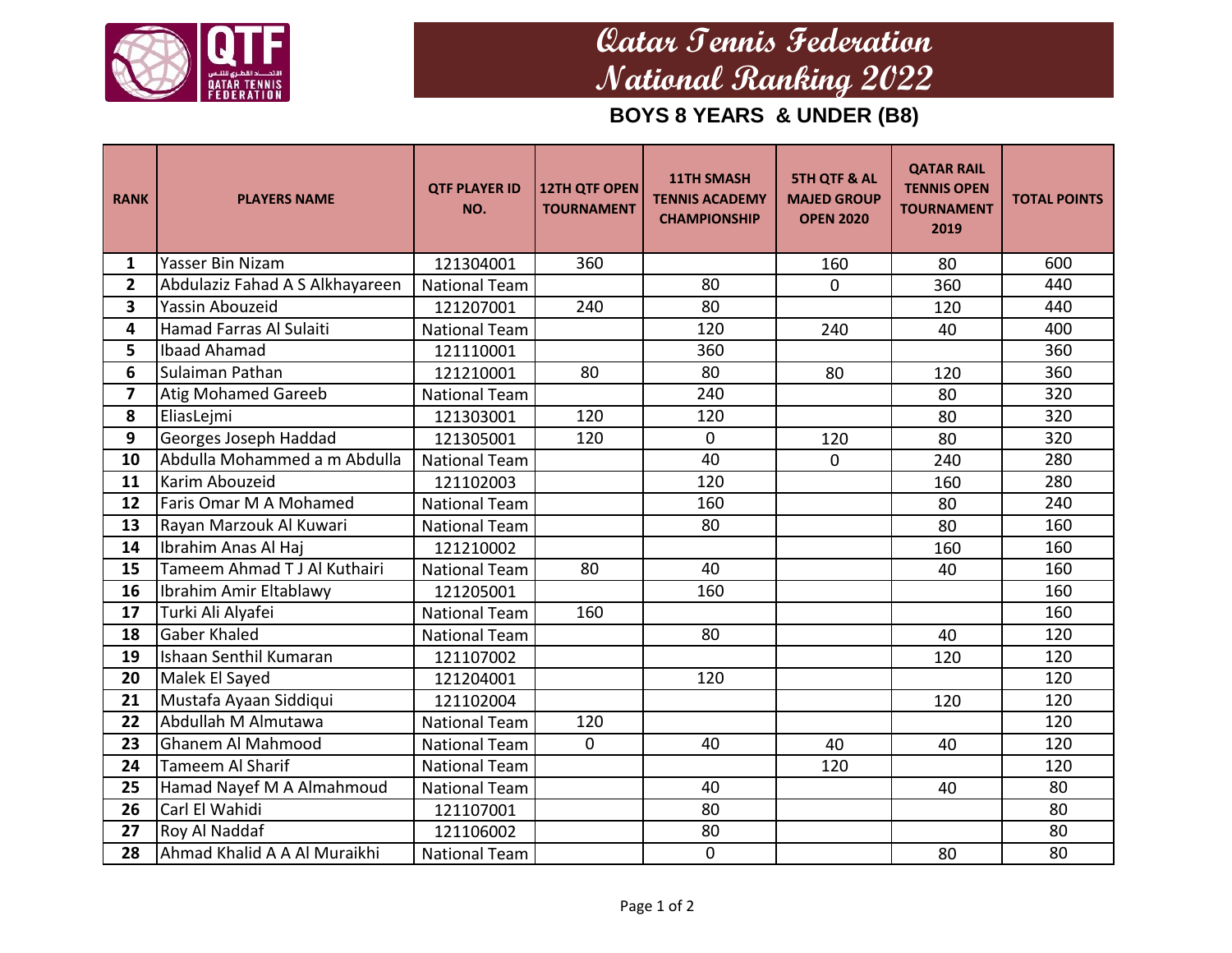

## **Qatar Tennis Federation National Ranking 2022**

**BOYS 8 YEARS & UNDER (B8)**

| <b>RANK</b>      | <b>PLAYERS NAME</b>             | <b>QTF PLAYER ID</b><br>NO. | <b>12TH QTF OPEN</b><br><b>TOURNAMENT</b> | <b>11TH SMASH</b><br><b>TENNIS ACADEMY</b><br><b>CHAMPIONSHIP</b> | <b>5TH QTF &amp; AL</b><br><b>MAJED GROUP</b><br><b>OPEN 2020</b> | <b>QATAR RAIL</b><br><b>TENNIS OPEN</b><br><b>TOURNAMENT</b><br>2019 | <b>TOTAL POINTS</b> |
|------------------|---------------------------------|-----------------------------|-------------------------------------------|-------------------------------------------------------------------|-------------------------------------------------------------------|----------------------------------------------------------------------|---------------------|
| 1                | Yasser Bin Nizam                | 121304001                   | 360                                       |                                                                   | 160                                                               | 80                                                                   | 600                 |
| $\mathbf{2}$     | Abdulaziz Fahad A S Alkhayareen | <b>National Team</b>        |                                           | 80                                                                | 0                                                                 | 360                                                                  | 440                 |
| 3                | <b>Yassin Abouzeid</b>          | 121207001                   | 240                                       | 80                                                                |                                                                   | 120                                                                  | 440                 |
| 4                | Hamad Farras Al Sulaiti         | <b>National Team</b>        |                                           | 120                                                               | 240                                                               | 40                                                                   | 400                 |
| 5                | <b>Ibaad Ahamad</b>             | 121110001                   |                                           | 360                                                               |                                                                   |                                                                      | 360                 |
| 6                | Sulaiman Pathan                 | 121210001                   | 80                                        | 80                                                                | 80                                                                | 120                                                                  | 360                 |
| $\overline{7}$   | <b>Atig Mohamed Gareeb</b>      | <b>National Team</b>        |                                           | 240                                                               |                                                                   | 80                                                                   | 320                 |
| 8                | EliasLejmi                      | 121303001                   | 120                                       | 120                                                               |                                                                   | 80                                                                   | 320                 |
| $\boldsymbol{9}$ | Georges Joseph Haddad           | 121305001                   | 120                                       | $\mathbf 0$                                                       | 120                                                               | 80                                                                   | 320                 |
| 10               | Abdulla Mohammed a m Abdulla    | <b>National Team</b>        |                                           | 40                                                                | 0                                                                 | 240                                                                  | 280                 |
| 11               | Karim Abouzeid                  | 121102003                   |                                           | 120                                                               |                                                                   | 160                                                                  | 280                 |
| 12               | Faris Omar M A Mohamed          | <b>National Team</b>        |                                           | 160                                                               |                                                                   | 80                                                                   | 240                 |
| 13               | Rayan Marzouk Al Kuwari         | <b>National Team</b>        |                                           | 80                                                                |                                                                   | 80                                                                   | 160                 |
| 14               | Ibrahim Anas Al Haj             | 121210002                   |                                           |                                                                   |                                                                   | 160                                                                  | 160                 |
| 15               | Tameem Ahmad TJ Al Kuthairi     | <b>National Team</b>        | 80                                        | 40                                                                |                                                                   | 40                                                                   | 160                 |
| 16               | Ibrahim Amir Eltablawy          | 121205001                   |                                           | 160                                                               |                                                                   |                                                                      | 160                 |
| 17               | Turki Ali Alyafei               | <b>National Team</b>        | 160                                       |                                                                   |                                                                   |                                                                      | 160                 |
| 18               | <b>Gaber Khaled</b>             | <b>National Team</b>        |                                           | 80                                                                |                                                                   | 40                                                                   | 120                 |
| 19               | Ishaan Senthil Kumaran          | 121107002                   |                                           |                                                                   |                                                                   | 120                                                                  | 120                 |
| 20               | Malek El Sayed                  | 121204001                   |                                           | 120                                                               |                                                                   |                                                                      | 120                 |
| 21               | Mustafa Ayaan Siddiqui          | 121102004                   |                                           |                                                                   |                                                                   | 120                                                                  | 120                 |
| 22               | Abdullah M Almutawa             | <b>National Team</b>        | 120                                       |                                                                   |                                                                   |                                                                      | 120                 |
| 23               | Ghanem Al Mahmood               | <b>National Team</b>        | $\mathbf 0$                               | 40                                                                | 40                                                                | 40                                                                   | 120                 |
| 24               | <b>Tameem Al Sharif</b>         | <b>National Team</b>        |                                           |                                                                   | 120                                                               |                                                                      | 120                 |
| 25               | Hamad Nayef M A Almahmoud       | <b>National Team</b>        |                                           | 40                                                                |                                                                   | 40                                                                   | 80                  |
| 26               | Carl El Wahidi                  | 121107001                   |                                           | 80                                                                |                                                                   |                                                                      | 80                  |
| 27               | Roy Al Naddaf                   | 121106002                   |                                           | 80                                                                |                                                                   |                                                                      | 80                  |
| 28               | Ahmad Khalid A A Al Muraikhi    | <b>National Team</b>        |                                           | 0                                                                 |                                                                   | 80                                                                   | 80                  |